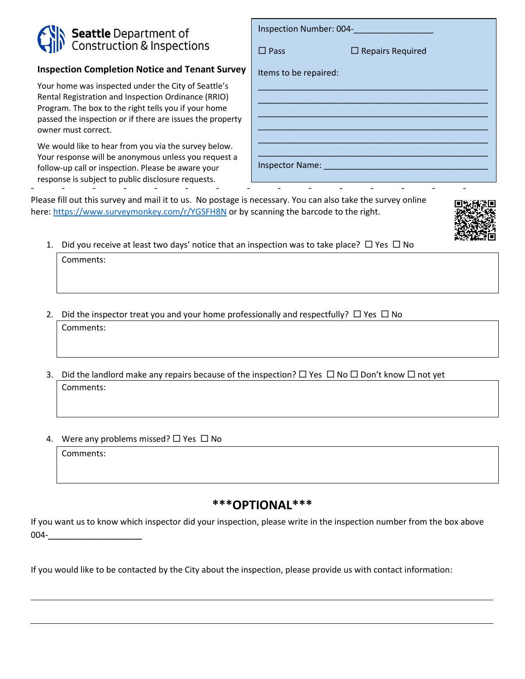## **Seattle** Department of<br>Construction & Inspections

## **Inspection Completion Notice and Tenant Survey**

Your home was inspected under the City of Seattle's Rental Registration and Inspection Ordinance (RRIO) Program. The box to the right tells you if your home passed the inspection or if there are issues the property owner must correct.

We would like to hear from you via the survey below. Your response will be anonymous unless you request a follow-up call or inspection. Please be aware your response is subject to public disclosure requests. - - - - - - - - - - - - - - -

| Inspection Number: 004- |  |
|-------------------------|--|
| $\Box$ Repairs Required |  |
|                         |  |
|                         |  |
|                         |  |
|                         |  |
|                         |  |
|                         |  |

Please fill out this survey and mail it to us. No postage is necessary. You can also take the survey online here:<https://www.surveymonkey.com/r/YGSFH8N> or by scanning the barcode to the right.

- 
- 1. Did you receive at least two days' notice that an inspection was to take place?  $\Box$  Yes  $\Box$  No

Comments:

- 2. Did the inspector treat you and your home professionally and respectfully?  $\Box$  Yes  $\Box$  No Comments:
- 3. Did the landlord make any repairs because of the inspection?  $\Box$  Yes  $\Box$  No  $\Box$  Don't know  $\Box$  not yet Comments:
- 4. Were any problems missed?  $\Box$  Yes  $\Box$  No

Comments:

## **\*\*\*OPTIONAL\*\*\***

If you want us to know which inspector did your inspection, please write in the inspection number from the box above 004-\_\_\_\_\_\_\_\_\_\_\_\_\_\_\_\_\_\_\_\_

If you would like to be contacted by the City about the inspection, please provide us with contact information: